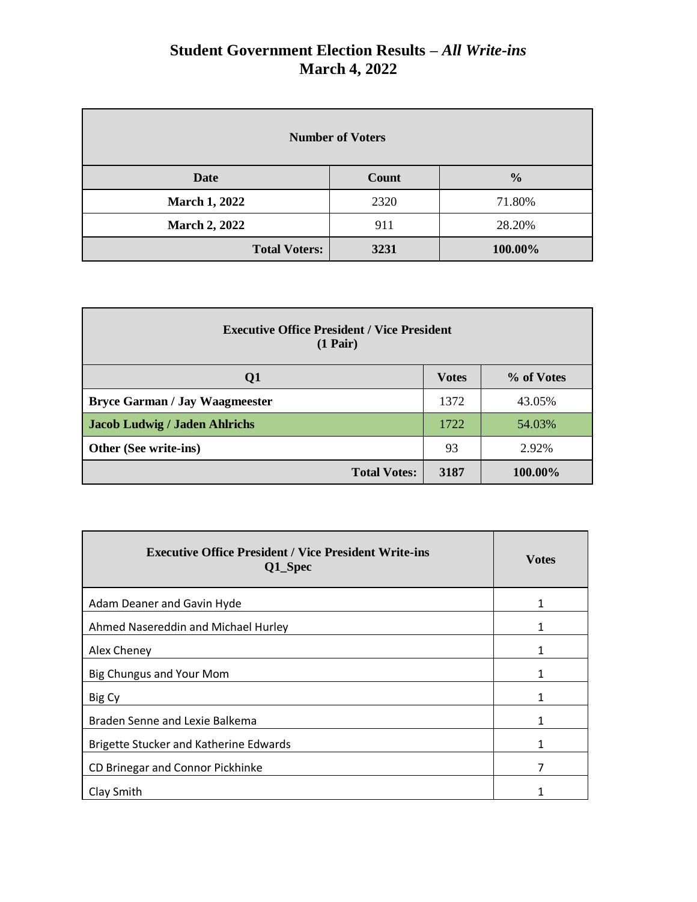| <b>Number of Voters</b> |              |               |  |
|-------------------------|--------------|---------------|--|
| <b>Date</b>             | <b>Count</b> | $\frac{0}{0}$ |  |
| <b>March 1, 2022</b>    | 2320         | 71.80%        |  |
| <b>March 2, 2022</b>    | 911          | 28.20%        |  |
| <b>Total Voters:</b>    | 3231         | 100.00%       |  |

| <b>Executive Office President / Vice President</b><br>$(1 \text{ Pair})$ |              |            |  |
|--------------------------------------------------------------------------|--------------|------------|--|
| Q <sub>1</sub>                                                           | <b>Votes</b> | % of Votes |  |
| <b>Bryce Garman / Jay Waagmeester</b>                                    | 1372         | 43.05%     |  |
| <b>Jacob Ludwig / Jaden Ahlrichs</b>                                     | 1722         | 54.03%     |  |
| <b>Other (See write-ins)</b>                                             | 93           | 2.92%      |  |
| <b>Total Votes:</b>                                                      | 3187         | 100.00%    |  |

| <b>Executive Office President / Vice President Write-ins</b><br>Q1_Spec | <b>Votes</b> |
|-------------------------------------------------------------------------|--------------|
| Adam Deaner and Gavin Hyde                                              |              |
| Ahmed Nasereddin and Michael Hurley                                     |              |
| Alex Cheney                                                             |              |
| Big Chungus and Your Mom                                                |              |
| Big Cy                                                                  |              |
| Braden Senne and Lexie Balkema                                          |              |
| Brigette Stucker and Katherine Edwards                                  |              |
| CD Brinegar and Connor Pickhinke                                        |              |
| Clay Smith                                                              |              |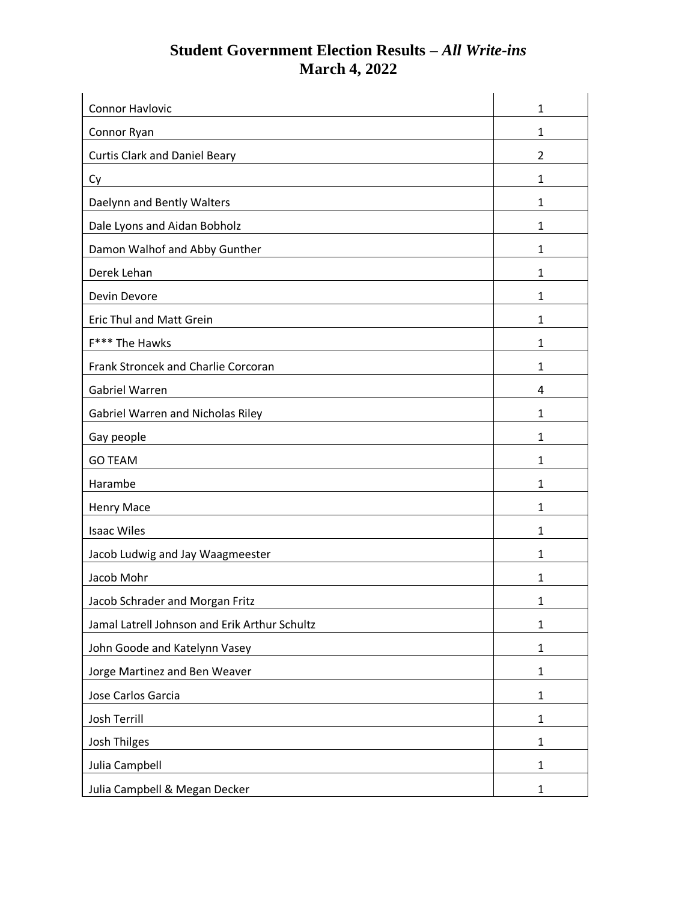| <b>Connor Havlovic</b>                        | 1            |
|-----------------------------------------------|--------------|
| Connor Ryan                                   | 1            |
| <b>Curtis Clark and Daniel Beary</b>          | 2            |
| Cy                                            | $\mathbf{1}$ |
| Daelynn and Bently Walters                    | $\mathbf{1}$ |
| Dale Lyons and Aidan Bobholz                  | 1            |
| Damon Walhof and Abby Gunther                 | $\mathbf{1}$ |
| Derek Lehan                                   | 1            |
| Devin Devore                                  | 1            |
| <b>Eric Thul and Matt Grein</b>               | 1            |
| F*** The Hawks                                | $\mathbf{1}$ |
| Frank Stroncek and Charlie Corcoran           | 1            |
| Gabriel Warren                                | 4            |
| Gabriel Warren and Nicholas Riley             | 1            |
| Gay people                                    | 1            |
| <b>GO TEAM</b>                                | 1            |
| Harambe                                       | 1            |
| <b>Henry Mace</b>                             | 1            |
| <b>Isaac Wiles</b>                            | 1            |
| Jacob Ludwig and Jay Waagmeester              | 1            |
| Jacob Mohr                                    | 1            |
| Jacob Schrader and Morgan Fritz               | 1            |
| Jamal Latrell Johnson and Erik Arthur Schultz | 1            |
| John Goode and Katelynn Vasey                 | 1            |
| Jorge Martinez and Ben Weaver                 | 1            |
| Jose Carlos Garcia                            | $\mathbf{1}$ |
| Josh Terrill                                  | $\mathbf{1}$ |
| <b>Josh Thilges</b>                           | 1            |
| Julia Campbell                                | 1            |
| Julia Campbell & Megan Decker                 | $\mathbf{1}$ |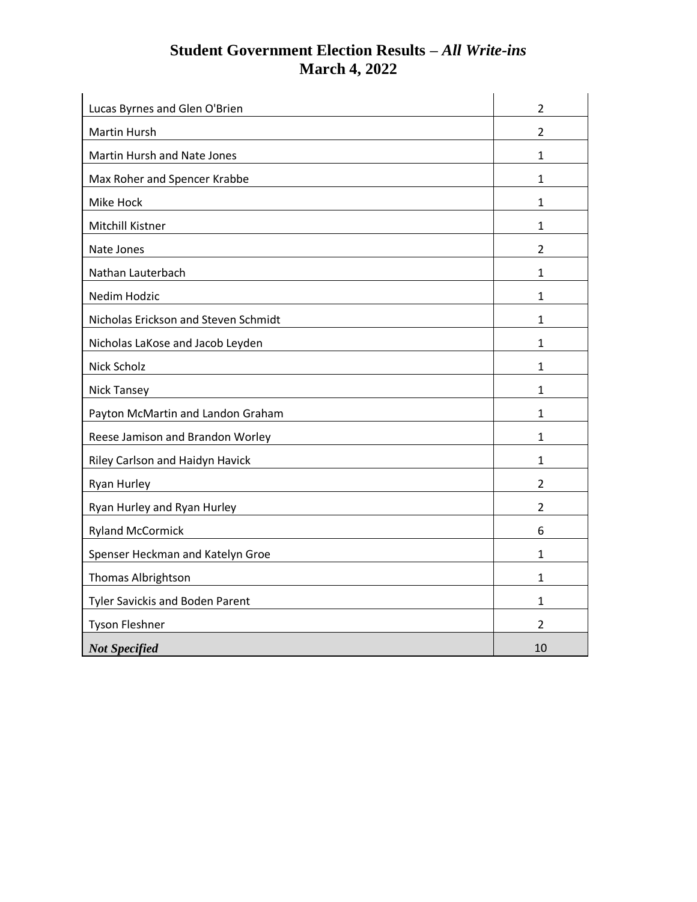| Lucas Byrnes and Glen O'Brien          | $\overline{2}$ |
|----------------------------------------|----------------|
| <b>Martin Hursh</b>                    | $\overline{2}$ |
| Martin Hursh and Nate Jones            | $\mathbf{1}$   |
| Max Roher and Spencer Krabbe           | 1              |
| Mike Hock                              | $\mathbf{1}$   |
| Mitchill Kistner                       | 1              |
| Nate Jones                             | $\overline{2}$ |
| Nathan Lauterbach                      | 1              |
| Nedim Hodzic                           | 1              |
| Nicholas Erickson and Steven Schmidt   | 1              |
| Nicholas LaKose and Jacob Leyden       | 1              |
| Nick Scholz                            | $\mathbf{1}$   |
| <b>Nick Tansey</b>                     | 1              |
| Payton McMartin and Landon Graham      | 1              |
| Reese Jamison and Brandon Worley       | 1              |
| Riley Carlson and Haidyn Havick        | 1              |
| Ryan Hurley                            | 2              |
| Ryan Hurley and Ryan Hurley            | $\overline{2}$ |
| <b>Ryland McCormick</b>                | 6              |
| Spenser Heckman and Katelyn Groe       | 1              |
| <b>Thomas Albrightson</b>              | $\mathbf{1}$   |
| <b>Tyler Savickis and Boden Parent</b> | 1              |
| <b>Tyson Fleshner</b>                  | $\mathcal{P}$  |
| <b>Not Specified</b>                   | 10             |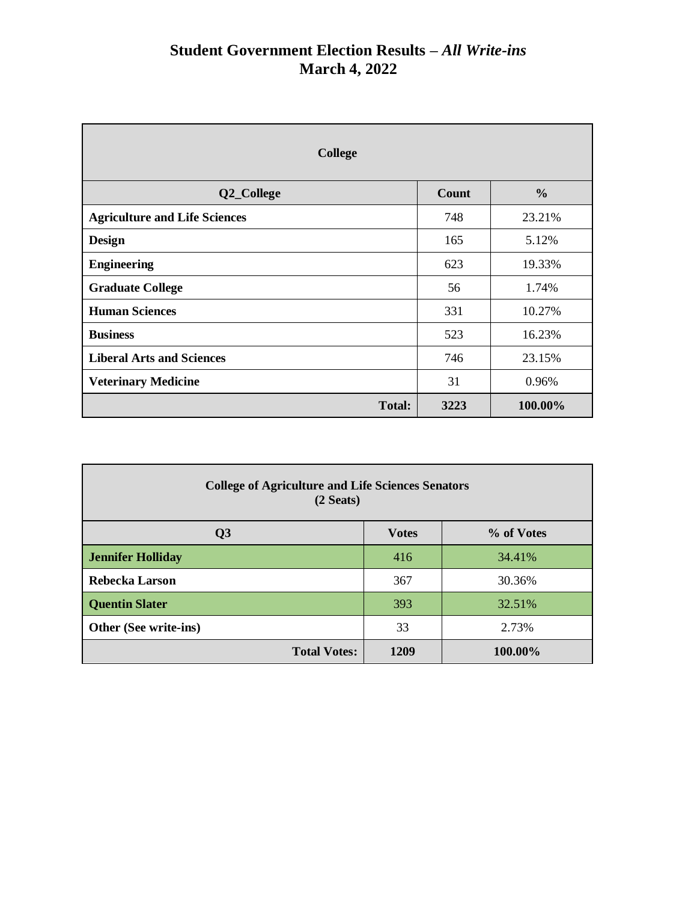| <b>College</b>                       |              |               |  |
|--------------------------------------|--------------|---------------|--|
| Q2_College                           | <b>Count</b> | $\frac{0}{0}$ |  |
| <b>Agriculture and Life Sciences</b> | 748          | 23.21%        |  |
| <b>Design</b>                        | 165          | 5.12%         |  |
| <b>Engineering</b>                   | 623          | 19.33%        |  |
| <b>Graduate College</b>              | 56           | 1.74%         |  |
| <b>Human Sciences</b>                | 331          | 10.27%        |  |
| <b>Business</b>                      | 523          | 16.23%        |  |
| <b>Liberal Arts and Sciences</b>     | 746          | 23.15%        |  |
| <b>Veterinary Medicine</b>           | 31           | 0.96%         |  |
| <b>Total:</b>                        | 3223         | 100.00%       |  |

| <b>College of Agriculture and Life Sciences Senators</b><br>(2 <b>S eats</b> ) |              |            |  |
|--------------------------------------------------------------------------------|--------------|------------|--|
| Q <sub>3</sub>                                                                 | <b>Votes</b> | % of Votes |  |
| <b>Jennifer Holliday</b>                                                       | 416          | 34.41%     |  |
| Rebecka Larson                                                                 | 367          | 30.36%     |  |
| <b>Quentin Slater</b>                                                          | 393          | 32.51%     |  |
| Other (See write-ins)                                                          | 33           | 2.73%      |  |
| <b>Total Votes:</b>                                                            | 1209         | 100.00%    |  |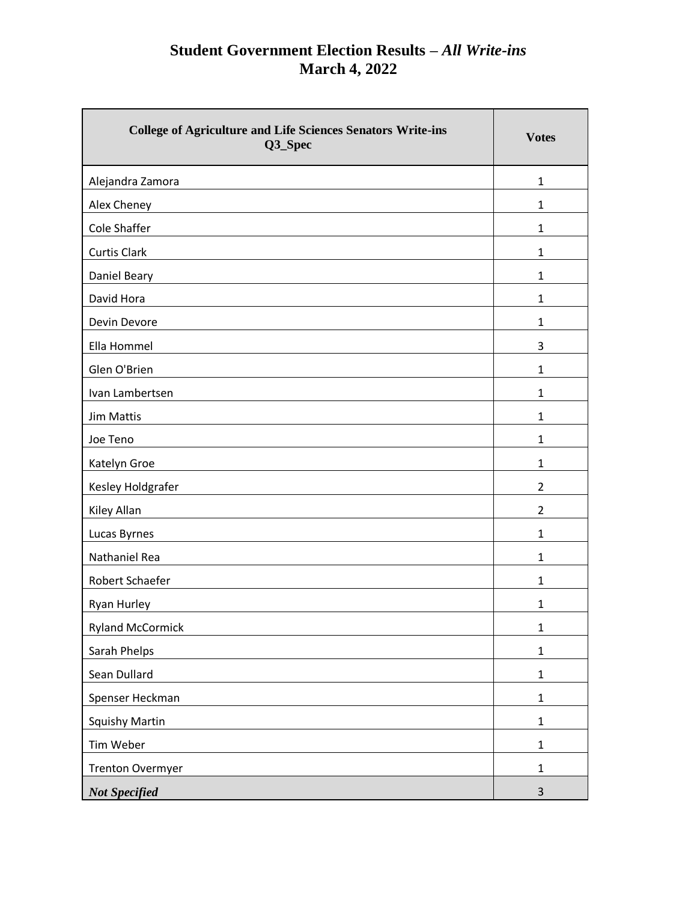| <b>College of Agriculture and Life Sciences Senators Write-ins</b><br>Q3_Spec | <b>Votes</b>   |
|-------------------------------------------------------------------------------|----------------|
| Alejandra Zamora                                                              | $\mathbf{1}$   |
| Alex Cheney                                                                   | 1              |
| <b>Cole Shaffer</b>                                                           | $\mathbf{1}$   |
| <b>Curtis Clark</b>                                                           | $\mathbf{1}$   |
| Daniel Beary                                                                  | $\mathbf{1}$   |
| David Hora                                                                    | 1              |
| Devin Devore                                                                  | $\mathbf{1}$   |
| Ella Hommel                                                                   | 3              |
| Glen O'Brien                                                                  | $\mathbf{1}$   |
| Ivan Lambertsen                                                               | 1              |
| <b>Jim Mattis</b>                                                             | $\mathbf{1}$   |
| Joe Teno                                                                      | $\mathbf{1}$   |
| Katelyn Groe                                                                  | 1              |
| Kesley Holdgrafer                                                             | $\overline{2}$ |
| Kiley Allan                                                                   | $\overline{2}$ |
| Lucas Byrnes                                                                  | $\mathbf{1}$   |
| Nathaniel Rea                                                                 | 1              |
| Robert Schaefer                                                               | $\mathbf{1}$   |
| Ryan Hurley                                                                   | 1              |
| <b>Ryland McCormick</b>                                                       | $\mathbf 1$    |
| Sarah Phelps                                                                  | $\mathbf 1$    |
| Sean Dullard                                                                  | $\mathbf{1}$   |
| Spenser Heckman                                                               | $\mathbf 1$    |
| <b>Squishy Martin</b>                                                         | $\mathbf{1}$   |
| Tim Weber                                                                     | $\mathbf{1}$   |
| <b>Trenton Overmyer</b>                                                       | $\mathbf{1}$   |
| <b>Not Specified</b>                                                          | $\mathsf{3}$   |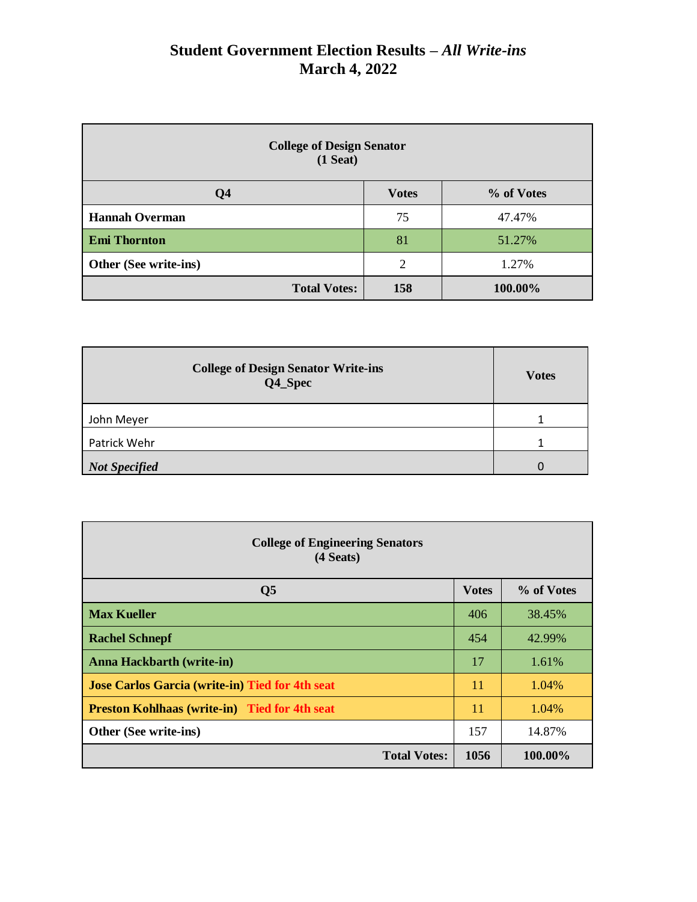| <b>College of Design Senator</b><br>$(1$ Seat) |                |            |  |
|------------------------------------------------|----------------|------------|--|
| Q <sub>4</sub>                                 | <b>Votes</b>   | % of Votes |  |
| <b>Hannah Overman</b>                          | 75             | 47.47%     |  |
| <b>Emi Thornton</b>                            | 81             | 51.27%     |  |
| Other (See write-ins)                          | $\overline{2}$ | 1.27%      |  |
| <b>Total Votes:</b>                            | 158            | 100.00%    |  |

| <b>College of Design Senator Write-ins</b><br>Q4_Spec | <b>Votes</b> |
|-------------------------------------------------------|--------------|
| John Meyer                                            |              |
| Patrick Wehr                                          |              |
| <b>Not Specified</b>                                  |              |

| <b>College of Engineering Senators</b><br>(4 <b>Seats</b> ) |              |            |
|-------------------------------------------------------------|--------------|------------|
| Q <sub>5</sub>                                              | <b>Votes</b> | % of Votes |
| <b>Max Kueller</b>                                          | 406          | 38.45%     |
| <b>Rachel Schnepf</b>                                       | 454          | 42.99%     |
| <b>Anna Hackbarth (write-in)</b>                            | 17           | 1.61%      |
| <b>Jose Carlos Garcia (write-in) Tied for 4th seat</b>      | 11           | 1.04%      |
| <b>Preston Kohlhaas (write-in)</b> Tied for 4th seat        | 11           | 1.04%      |
| Other (See write-ins)                                       | 157          | 14.87%     |
| <b>Total Votes:</b>                                         | 1056         | 100.00%    |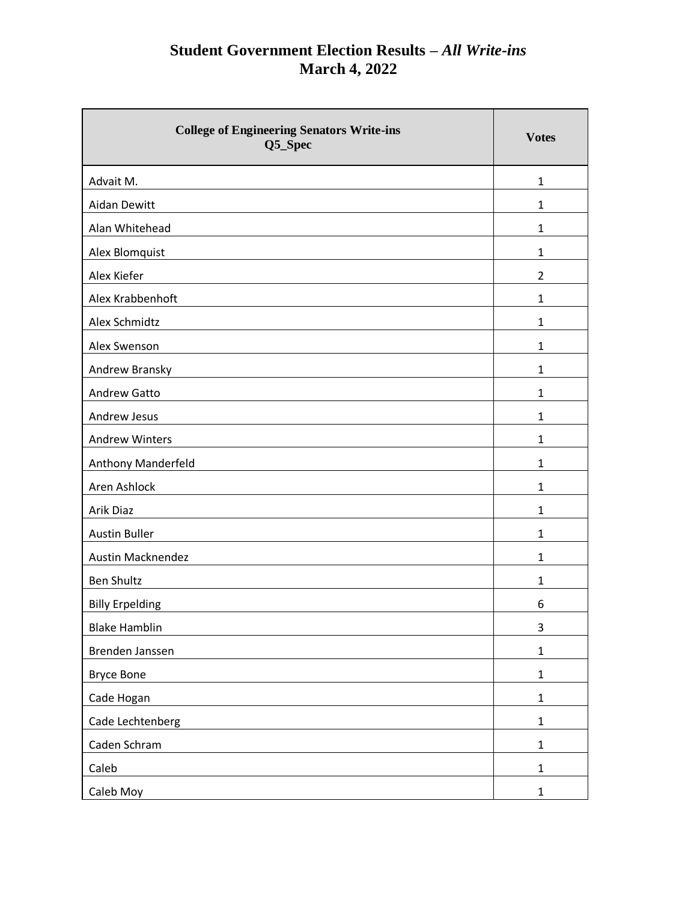| <b>College of Engineering Senators Write-ins</b><br>Q5_Spec | <b>Votes</b>   |
|-------------------------------------------------------------|----------------|
| Advait M.                                                   | $\mathbf{1}$   |
| Aidan Dewitt                                                | $\mathbf{1}$   |
| Alan Whitehead                                              | $\mathbf{1}$   |
| Alex Blomquist                                              | $\mathbf{1}$   |
| Alex Kiefer                                                 | $\overline{2}$ |
| Alex Krabbenhoft                                            | 1              |
| Alex Schmidtz                                               | 1              |
| Alex Swenson                                                | 1              |
| Andrew Bransky                                              | $\mathbf{1}$   |
| <b>Andrew Gatto</b>                                         | $\mathbf{1}$   |
| Andrew Jesus                                                | $\mathbf{1}$   |
| <b>Andrew Winters</b>                                       | $\mathbf{1}$   |
| Anthony Manderfeld                                          | $\mathbf{1}$   |
| Aren Ashlock                                                | 1              |
| Arik Diaz                                                   | 1              |
| <b>Austin Buller</b>                                        | $\mathbf{1}$   |
| <b>Austin Macknendez</b>                                    | $\mathbf{1}$   |
| <b>Ben Shultz</b>                                           | $\mathbf{1}$   |
| <b>Billy Erpelding</b>                                      | 6              |
| <b>Blake Hamblin</b>                                        | 3              |
| Brenden Janssen                                             | $\mathbf{1}$   |
| <b>Bryce Bone</b>                                           | $\mathbf{1}$   |
| Cade Hogan                                                  | $\mathbf{1}$   |
| Cade Lechtenberg                                            | $\mathbf{1}$   |
| Caden Schram                                                | $\mathbf 1$    |
| Caleb                                                       | $\mathbf{1}$   |
| Caleb Moy                                                   | $\mathbf{1}$   |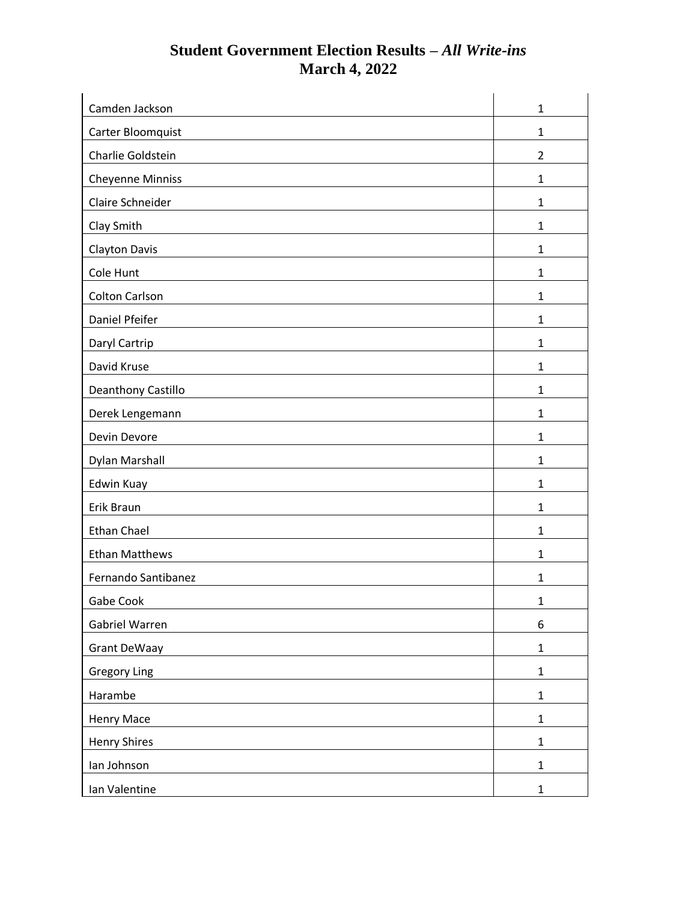| Camden Jackson          | $\mathbf{1}$   |
|-------------------------|----------------|
| Carter Bloomquist       | $\mathbf{1}$   |
| Charlie Goldstein       | $\overline{2}$ |
| <b>Cheyenne Minniss</b> | $\mathbf{1}$   |
| Claire Schneider        | 1              |
| Clay Smith              | $\mathbf{1}$   |
| Clayton Davis           | $\mathbf{1}$   |
| Cole Hunt               | 1              |
| Colton Carlson          | 1              |
| Daniel Pfeifer          | $\mathbf{1}$   |
| Daryl Cartrip           | $\mathbf{1}$   |
| David Kruse             | 1              |
| Deanthony Castillo      | $\mathbf{1}$   |
| Derek Lengemann         | $\mathbf{1}$   |
| Devin Devore            | $\mathbf{1}$   |
| Dylan Marshall          | 1              |
| Edwin Kuay              | 1              |
| Erik Braun              | $\mathbf{1}$   |
| Ethan Chael             | $\mathbf{1}$   |
| <b>Ethan Matthews</b>   | $\mathbf{1}$   |
| Fernando Santibanez     | $\mathbf{1}$   |
| Gabe Cook               | 1              |
| Gabriel Warren          | 6              |
| Grant DeWaay            | $\mathbf 1$    |
| <b>Gregory Ling</b>     | $\mathbf 1$    |
| Harambe                 | $\mathbf 1$    |
| <b>Henry Mace</b>       | $\mathbf 1$    |
| <b>Henry Shires</b>     | $\mathbf{1}$   |
| Ian Johnson             | $\mathbf{1}$   |
| Ian Valentine           | $\mathbf 1$    |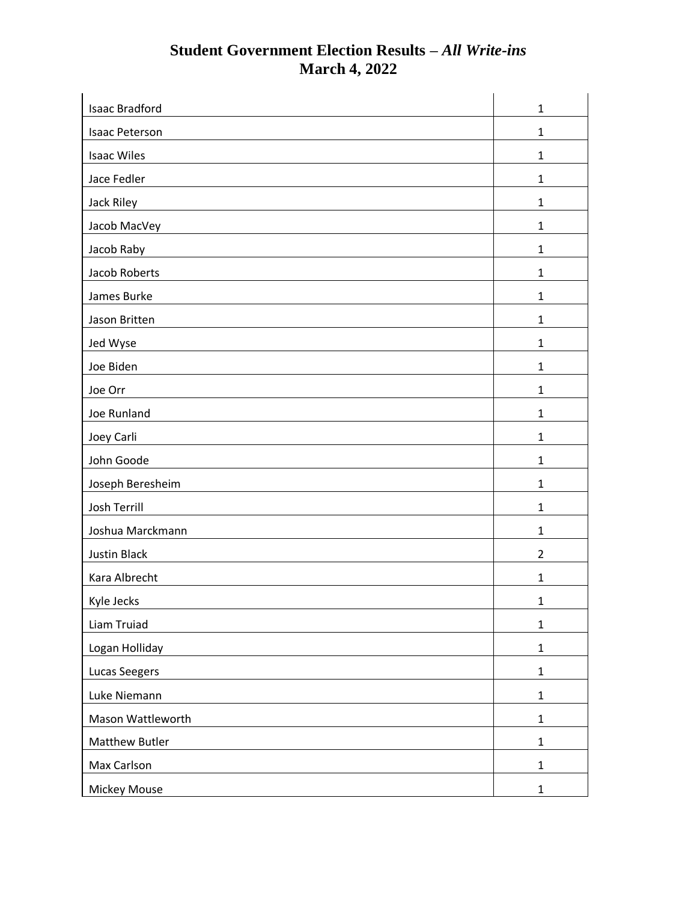| <b>Isaac Bradford</b> | $\mathbf{1}$   |
|-----------------------|----------------|
| <b>Isaac Peterson</b> | $\mathbf{1}$   |
| <b>Isaac Wiles</b>    | $\mathbf{1}$   |
| Jace Fedler           | $\mathbf{1}$   |
| Jack Riley            | 1              |
| Jacob MacVey          | $\mathbf{1}$   |
| Jacob Raby            | $\mathbf{1}$   |
| Jacob Roberts         | $\mathbf{1}$   |
| James Burke           | 1              |
| Jason Britten         | $\mathbf{1}$   |
| Jed Wyse              | $\mathbf{1}$   |
| Joe Biden             | $\mathbf{1}$   |
| Joe Orr               | $\mathbf{1}$   |
| Joe Runland           | $\mathbf{1}$   |
| Joey Carli            | $\mathbf{1}$   |
| John Goode            | $\mathbf{1}$   |
| Joseph Beresheim      | $\mathbf{1}$   |
| Josh Terrill          | $\mathbf{1}$   |
| Joshua Marckmann      | $\mathbf{1}$   |
| <b>Justin Black</b>   | $\overline{2}$ |
| Kara Albrecht         | $\mathbf{1}$   |
| Kyle Jecks            | 1              |
| Liam Truiad           | $\mathbf 1$    |
| Logan Holliday        | $\mathbf 1$    |
| Lucas Seegers         | $\mathbf 1$    |
| Luke Niemann          | $\mathbf 1$    |
| Mason Wattleworth     | $\mathbf 1$    |
| <b>Matthew Butler</b> | $\mathbf{1}$   |
| Max Carlson           | $\mathbf{1}$   |
| Mickey Mouse          | $\mathbf 1$    |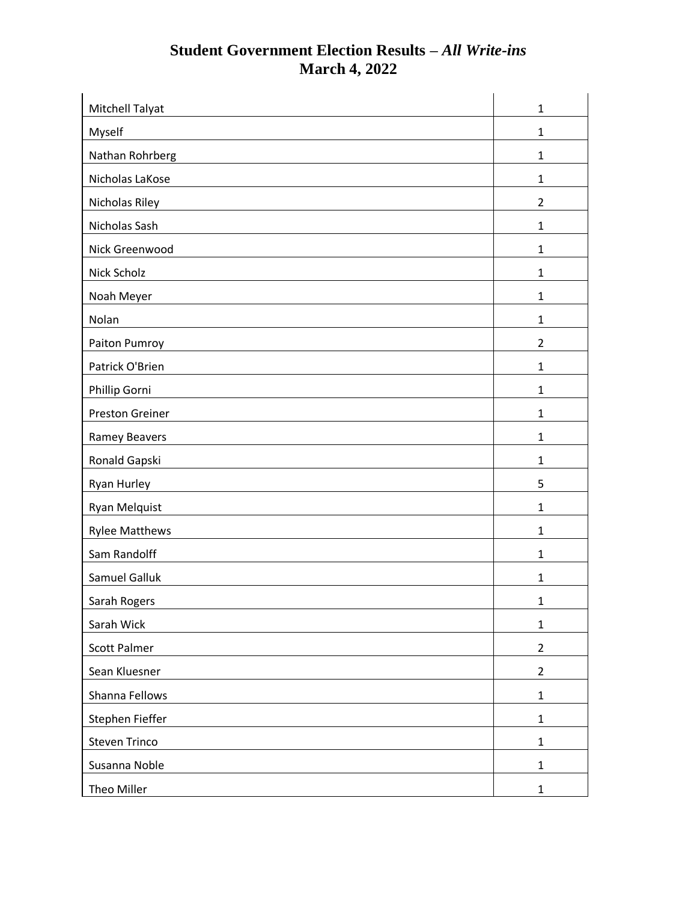| Mitchell Talyat        | 1              |
|------------------------|----------------|
| Myself                 | 1              |
| Nathan Rohrberg        | 1              |
| Nicholas LaKose        | $\mathbf{1}$   |
| Nicholas Riley         | $\overline{2}$ |
| Nicholas Sash          | $\mathbf{1}$   |
| Nick Greenwood         | $\mathbf{1}$   |
| Nick Scholz            | $\mathbf{1}$   |
| Noah Meyer             | 1              |
| Nolan                  | 1              |
| Paiton Pumroy          | $\overline{2}$ |
| Patrick O'Brien        | $\mathbf{1}$   |
| Phillip Gorni          | $\mathbf{1}$   |
| <b>Preston Greiner</b> | $\mathbf{1}$   |
| <b>Ramey Beavers</b>   | $\mathbf{1}$   |
| Ronald Gapski          | 1              |
| Ryan Hurley            | 5              |
| Ryan Melquist          | $\mathbf{1}$   |
| <b>Rylee Matthews</b>  | $\mathbf{1}$   |
| Sam Randolff           | $\mathbf{1}$   |
| Samuel Galluk          | 1              |
| Sarah Rogers           | 1              |
| Sarah Wick             | $\mathbf 1$    |
| <b>Scott Palmer</b>    | $\overline{2}$ |
| Sean Kluesner          | $\overline{2}$ |
| Shanna Fellows         | $\mathbf 1$    |
| Stephen Fieffer        | $\mathbf{1}$   |
| <b>Steven Trinco</b>   | $\mathbf{1}$   |
| Susanna Noble          | $\mathbf{1}$   |
| Theo Miller            | $\mathbf{1}$   |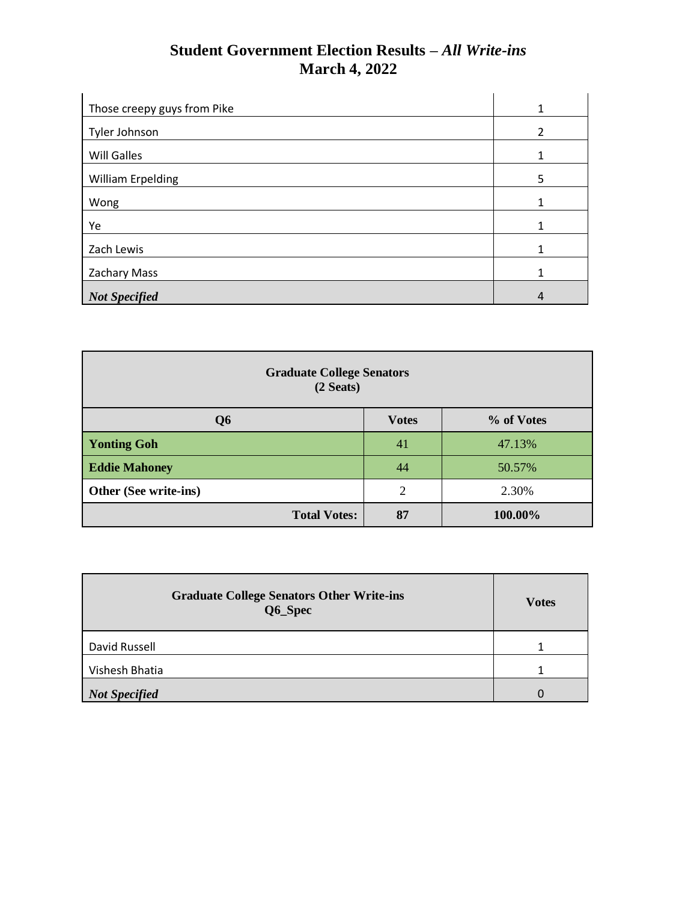| Those creepy guys from Pike | 1             |
|-----------------------------|---------------|
| Tyler Johnson               | $\mathcal{P}$ |
| Will Galles                 | 1             |
| William Erpelding           | 5             |
| Wong                        | $\mathbf{1}$  |
| Ye                          | 1             |
| Zach Lewis                  | 1             |
| Zachary Mass                | 1             |
| <b>Not Specified</b>        | 4             |

| <b>Graduate College Senators</b><br>(2 <b>S eats</b> ) |              |            |
|--------------------------------------------------------|--------------|------------|
| Q <sub>6</sub>                                         | <b>Votes</b> | % of Votes |
| <b>Yonting Goh</b>                                     | 41           | 47.13%     |
| <b>Eddie Mahoney</b>                                   | 44           | 50.57%     |
| Other (See write-ins)                                  | 2            | 2.30%      |
| <b>Total Votes:</b>                                    | 87           | 100.00%    |

| <b>Graduate College Senators Other Write-ins</b><br>Q6_Spec | <b>Votes</b> |
|-------------------------------------------------------------|--------------|
| David Russell                                               |              |
| Vishesh Bhatia                                              |              |
| <b>Not Specified</b>                                        |              |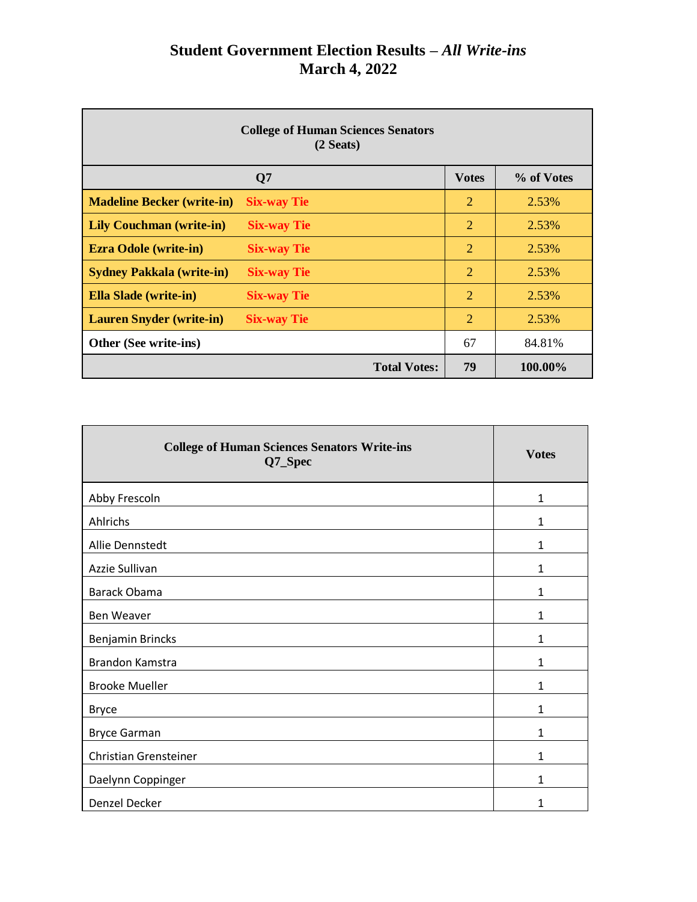| <b>College of Human Sciences Senators</b><br>(2 <b>Seats</b> ) |                     |                |            |
|----------------------------------------------------------------|---------------------|----------------|------------|
|                                                                | Q7                  | <b>Votes</b>   | % of Votes |
| <b>Madeline Becker (write-in)</b>                              | <b>Six-way Tie</b>  | $\overline{2}$ | 2.53%      |
| <b>Lily Couchman (write-in)</b>                                | <b>Six-way Tie</b>  | 2              | 2.53%      |
| <b>Ezra Odole (write-in)</b>                                   | <b>Six-way Tie</b>  | 2              | 2.53%      |
| <b>Sydney Pakkala (write-in)</b>                               | <b>Six-way Tie</b>  | 2              | 2.53%      |
| <b>Ella Slade</b> (write-in)                                   | <b>Six-way Tie</b>  | $\overline{2}$ | 2.53%      |
| <b>Lauren Snyder (write-in)</b>                                | <b>Six-way Tie</b>  | $\overline{2}$ | 2.53%      |
| Other (See write-ins)                                          |                     | 67             | 84.81%     |
|                                                                | <b>Total Votes:</b> | 79             | 100.00%    |

| <b>College of Human Sciences Senators Write-ins</b><br>Q7_Spec | <b>Votes</b> |
|----------------------------------------------------------------|--------------|
| Abby Frescoln                                                  | 1            |
| Ahlrichs                                                       | 1            |
| Allie Dennstedt                                                | 1            |
| Azzie Sullivan                                                 | 1            |
| Barack Obama                                                   | 1            |
| Ben Weaver                                                     | 1            |
| Benjamin Brincks                                               | 1            |
| Brandon Kamstra                                                | 1            |
| <b>Brooke Mueller</b>                                          | 1            |
| <b>Bryce</b>                                                   | 1            |
| <b>Bryce Garman</b>                                            | 1            |
| Christian Grensteiner                                          | 1            |
| Daelynn Coppinger                                              | $\mathbf{1}$ |
| Denzel Decker                                                  | 1            |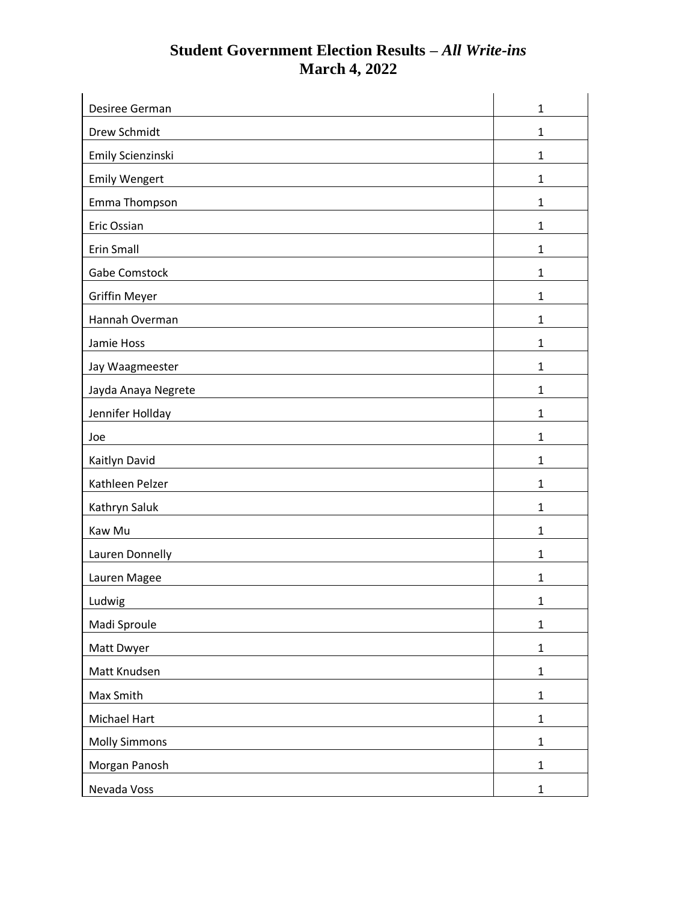| Desiree German       | $\mathbf{1}$ |
|----------------------|--------------|
| Drew Schmidt         | 1            |
| Emily Scienzinski    | $\mathbf{1}$ |
| <b>Emily Wengert</b> | $\mathbf{1}$ |
| Emma Thompson        | 1            |
| <b>Eric Ossian</b>   | 1            |
| Erin Small           | 1            |
| <b>Gabe Comstock</b> | 1            |
| <b>Griffin Meyer</b> | 1            |
| Hannah Overman       | $\mathbf{1}$ |
| Jamie Hoss           | $\mathbf{1}$ |
| Jay Waagmeester      | 1            |
| Jayda Anaya Negrete  | 1            |
| Jennifer Hollday     | $\mathbf{1}$ |
| Joe                  | $\mathbf{1}$ |
| Kaitlyn David        | 1            |
| Kathleen Pelzer      | 1            |
| Kathryn Saluk        | $\mathbf{1}$ |
| Kaw Mu               | $\mathbf{1}$ |
| Lauren Donnelly      | $\mathbf{1}$ |
| Lauren Magee         | 1            |
| Ludwig               | 1            |
| Madi Sproule         | $\mathbf{1}$ |
| Matt Dwyer           | $\mathbf{1}$ |
| Matt Knudsen         | $\mathbf{1}$ |
| Max Smith            | $\mathbf{1}$ |
| Michael Hart         | $\mathbf 1$  |
| <b>Molly Simmons</b> | $\mathbf{1}$ |
| Morgan Panosh        | $\mathbf{1}$ |
| Nevada Voss          | $\mathbf{1}$ |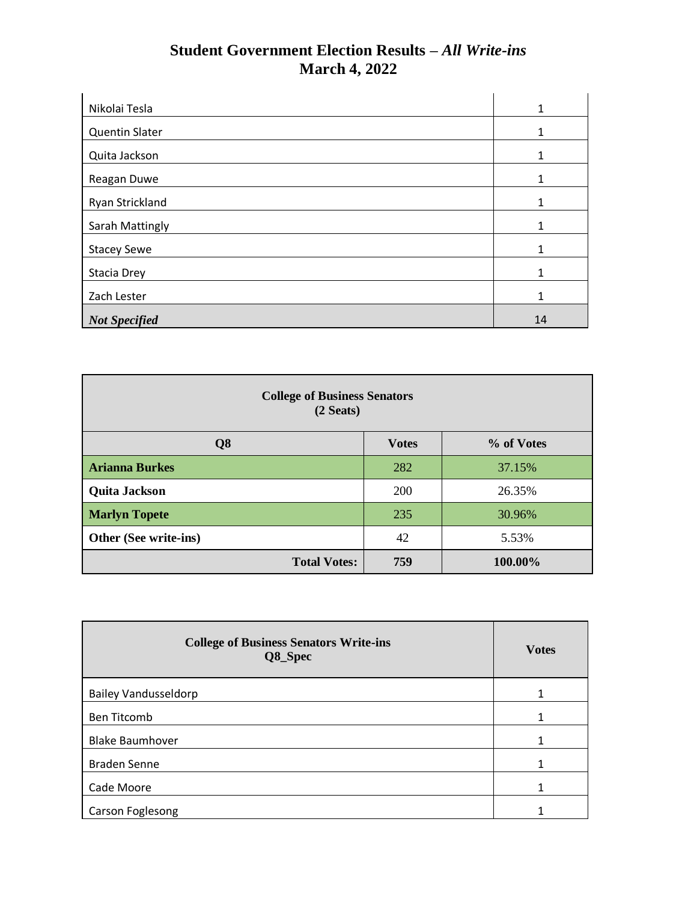| Nikolai Tesla         | 1            |
|-----------------------|--------------|
| <b>Quentin Slater</b> | 1            |
| Quita Jackson         | 1            |
| Reagan Duwe           | $\mathbf{1}$ |
| Ryan Strickland       | 1            |
| Sarah Mattingly       | 1            |
| <b>Stacey Sewe</b>    | 1            |
| Stacia Drey           | 1            |
| Zach Lester           | 1            |
| <b>Not Specified</b>  | 14           |

| <b>College of Business Senators</b><br>(2 <b>S eats</b> ) |              |            |  |
|-----------------------------------------------------------|--------------|------------|--|
| Q <sub>8</sub>                                            | <b>Votes</b> | % of Votes |  |
| <b>Arianna Burkes</b>                                     | 282          | 37.15%     |  |
| <b>Quita Jackson</b>                                      | 200          | 26.35%     |  |
| <b>Marlyn Topete</b>                                      | 235          | 30.96%     |  |
| Other (See write-ins)                                     | 42           | 5.53%      |  |
| <b>Total Votes:</b>                                       | 759          | 100.00%    |  |

| <b>College of Business Senators Write-ins</b><br>Q8_Spec | <b>Votes</b> |
|----------------------------------------------------------|--------------|
| <b>Bailey Vandusseldorp</b>                              |              |
| <b>Ben Titcomb</b>                                       | 1            |
| <b>Blake Baumhover</b>                                   | 1            |
| <b>Braden Senne</b>                                      | 1            |
| Cade Moore                                               | 1            |
| Carson Foglesong                                         |              |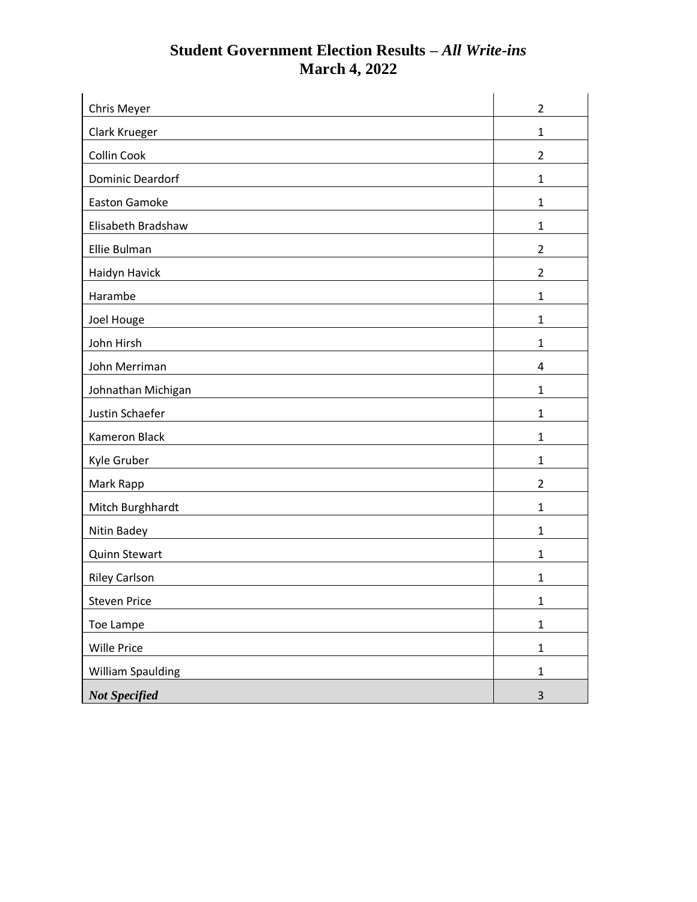| Chris Meyer              | $\overline{2}$          |
|--------------------------|-------------------------|
| Clark Krueger            | $\mathbf{1}$            |
| Collin Cook              | $\overline{2}$          |
| <b>Dominic Deardorf</b>  | $\mathbf{1}$            |
| <b>Easton Gamoke</b>     | $\mathbf{1}$            |
| Elisabeth Bradshaw       | $\mathbf{1}$            |
| Ellie Bulman             | $\overline{2}$          |
| Haidyn Havick            | $\overline{2}$          |
| Harambe                  | $\mathbf{1}$            |
| Joel Houge               | 1                       |
| John Hirsh               | $\mathbf{1}$            |
| John Merriman            | $\overline{\mathbf{4}}$ |
| Johnathan Michigan       | $\mathbf{1}$            |
| Justin Schaefer          | $\mathbf{1}$            |
| Kameron Black            | $\mathbf{1}$            |
| Kyle Gruber              | 1                       |
| Mark Rapp                | $\overline{2}$          |
| Mitch Burghhardt         | $\mathbf{1}$            |
| Nitin Badey              | 1                       |
| Quinn Stewart            | $\mathbf{1}$            |
| <b>Riley Carlson</b>     | $\mathbf{1}$            |
| <b>Steven Price</b>      | 1                       |
| Toe Lampe                | $\mathbf{1}$            |
| Wille Price              | $\mathbf 1$             |
| <b>William Spaulding</b> | $\mathbf 1$             |
| <b>Not Specified</b>     | $\mathsf{3}$            |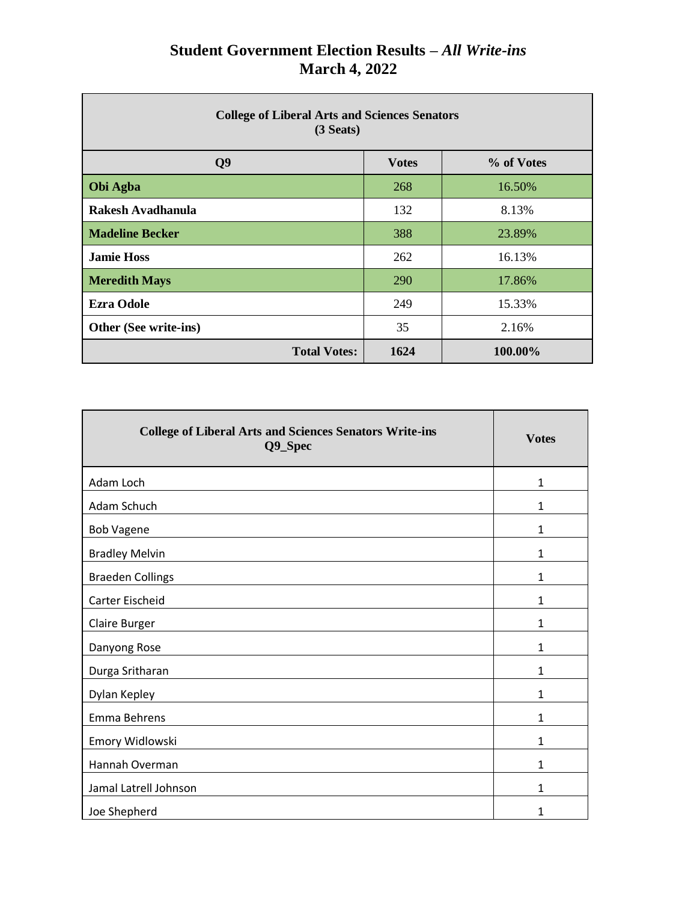| <b>College of Liberal Arts and Sciences Senators</b><br>(3 <b>Seats</b> ) |              |            |
|---------------------------------------------------------------------------|--------------|------------|
| Q <sub>9</sub>                                                            | <b>Votes</b> | % of Votes |
| Obi Agba                                                                  | 268          | 16.50%     |
| Rakesh Avadhanula                                                         | 132          | 8.13%      |
| <b>Madeline Becker</b>                                                    | 388          | 23.89%     |
| <b>Jamie Hoss</b>                                                         | 262          | 16.13%     |
| <b>Meredith Mays</b>                                                      | <b>290</b>   | 17.86%     |
| <b>Ezra Odole</b>                                                         | 249          | 15.33%     |
| Other (See write-ins)                                                     | 35           | 2.16%      |
| <b>Total Votes:</b>                                                       | 1624         | 100.00%    |

| <b>College of Liberal Arts and Sciences Senators Write-ins</b><br>Q9_Spec | <b>Votes</b> |
|---------------------------------------------------------------------------|--------------|
| Adam Loch                                                                 | $\mathbf{1}$ |
| Adam Schuch                                                               | 1            |
| <b>Bob Vagene</b>                                                         | $\mathbf{1}$ |
| <b>Bradley Melvin</b>                                                     | 1            |
| <b>Braeden Collings</b>                                                   | 1            |
| Carter Eischeid                                                           | 1            |
| Claire Burger                                                             | $\mathbf{1}$ |
| Danyong Rose                                                              | 1            |
| Durga Sritharan                                                           | 1            |
| Dylan Kepley                                                              | $\mathbf{1}$ |
| Emma Behrens                                                              | 1            |
| Emory Widlowski                                                           | 1            |
| Hannah Overman                                                            | $\mathbf{1}$ |
| Jamal Latrell Johnson                                                     | 1            |
| Joe Shepherd                                                              | 1            |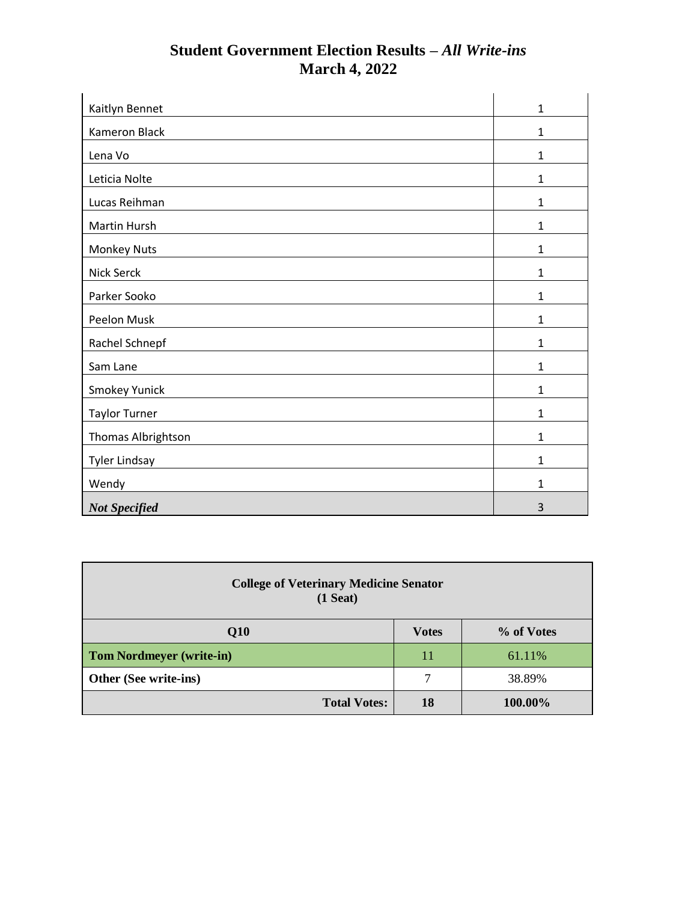| Kaitlyn Bennet       | $\mathbf{1}$ |
|----------------------|--------------|
| Kameron Black        | $\mathbf 1$  |
| Lena Vo              | $\mathbf{1}$ |
| Leticia Nolte        | $\mathbf{1}$ |
| Lucas Reihman        | $\mathbf{1}$ |
| Martin Hursh         | 1            |
| Monkey Nuts          | $\mathbf{1}$ |
| Nick Serck           | $\mathbf{1}$ |
| Parker Sooko         | $\mathbf{1}$ |
| Peelon Musk          | $\mathbf{1}$ |
| Rachel Schnepf       | $\mathbf{1}$ |
| Sam Lane             | $\mathbf{1}$ |
| Smokey Yunick        | $\mathbf{1}$ |
| <b>Taylor Turner</b> | $\mathbf{1}$ |
| Thomas Albrightson   | $\mathbf{1}$ |
| <b>Tyler Lindsay</b> | $\mathbf{1}$ |
| Wendy                | $\mathbf{1}$ |
| <b>Not Specified</b> | 3            |

| <b>College of Veterinary Medicine Senator</b><br>$(1$ Seat) |              |            |
|-------------------------------------------------------------|--------------|------------|
| Q10                                                         | <b>Votes</b> | % of Votes |
| <b>Tom Nordmeyer (write-in)</b>                             | 11           | 61.11\%    |
| Other (See write-ins)                                       | 7            | 38.89%     |
| <b>Total Votes:</b>                                         | 18           | 100.00%    |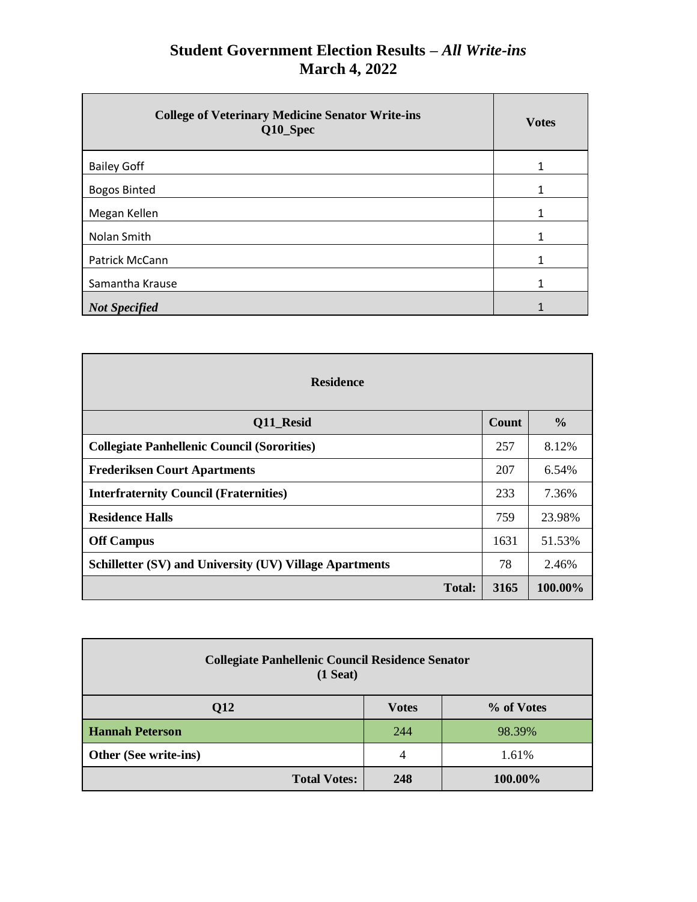| <b>College of Veterinary Medicine Senator Write-ins</b><br>Q10_Spec | <b>Votes</b> |
|---------------------------------------------------------------------|--------------|
| <b>Bailey Goff</b>                                                  |              |
| <b>Bogos Binted</b>                                                 |              |
| Megan Kellen                                                        |              |
| Nolan Smith                                                         |              |
| Patrick McCann                                                      |              |
| Samantha Krause                                                     |              |
| <b>Not Specified</b>                                                |              |

| <b>Residence</b>                                        |              |               |  |
|---------------------------------------------------------|--------------|---------------|--|
| Q11_Resid                                               | <b>Count</b> | $\frac{6}{9}$ |  |
| <b>Collegiate Panhellenic Council (Sororities)</b>      | 257          | 8.12%         |  |
| <b>Frederiksen Court Apartments</b>                     | 207          | 6.54%         |  |
| <b>Interfraternity Council (Fraternities)</b>           | 233          | 7.36%         |  |
| <b>Residence Halls</b>                                  | 759          | 23.98%        |  |
| <b>Off Campus</b>                                       | 1631         | 51.53%        |  |
| Schilletter (SV) and University (UV) Village Apartments | 78           | 2.46%         |  |
| <b>Total:</b>                                           | 3165         | 100.00%       |  |

| <b>Collegiate Panhellenic Council Residence Senator</b><br>$(1$ Seat) |              |            |
|-----------------------------------------------------------------------|--------------|------------|
| Q12                                                                   | <b>Votes</b> | % of Votes |
| <b>Hannah Peterson</b>                                                | 244          | 98.39%     |
| Other (See write-ins)                                                 | 4            | 1.61%      |
| <b>Total Votes:</b>                                                   | 248          | 100.00%    |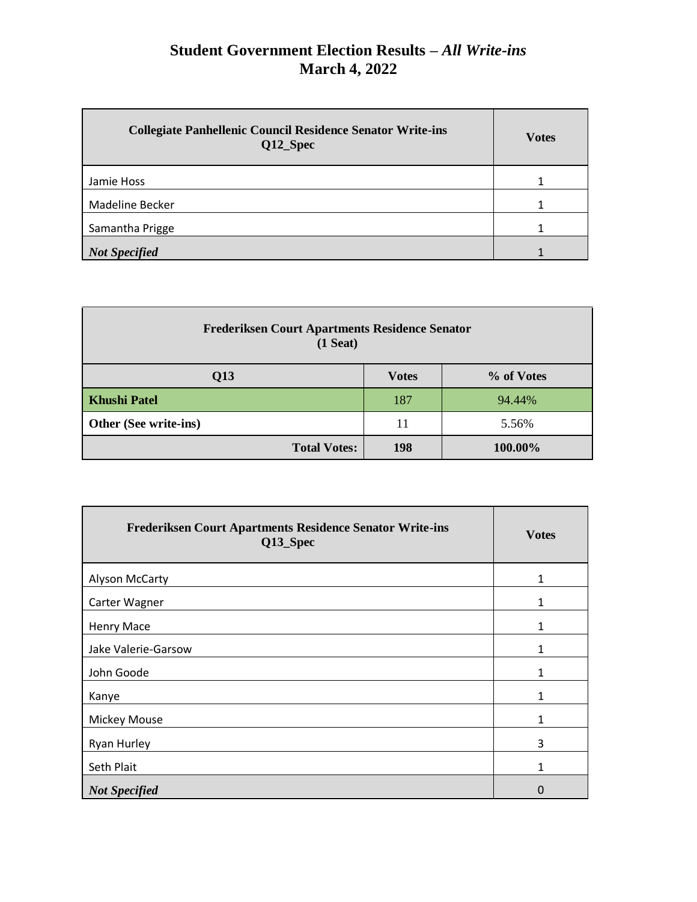| <b>Collegiate Panhellenic Council Residence Senator Write-ins</b><br>Q12_Spec | <b>Votes</b> |
|-------------------------------------------------------------------------------|--------------|
| Jamie Hoss                                                                    |              |
| <b>Madeline Becker</b>                                                        | 1            |
| Samantha Prigge                                                               |              |
| <b>Not Specified</b>                                                          |              |

| <b>Frederiksen Court Apartments Residence Senator</b><br>$(1$ Seat) |              |            |
|---------------------------------------------------------------------|--------------|------------|
| Q13                                                                 | <b>Votes</b> | % of Votes |
| <b>Khushi Patel</b>                                                 | 187          | 94.44%     |
| Other (See write-ins)                                               | 11           | 5.56%      |
| <b>Total Votes:</b>                                                 | 198          | 100.00%    |

÷,

| Frederiksen Court Apartments Residence Senator Write-ins<br>Q13_Spec | <b>Votes</b> |
|----------------------------------------------------------------------|--------------|
| Alyson McCarty                                                       | $\mathbf{1}$ |
| Carter Wagner                                                        | $\mathbf{1}$ |
| Henry Mace                                                           | 1            |
| Jake Valerie-Garsow                                                  | 1            |
| John Goode                                                           | 1            |
| Kanye                                                                | 1            |
| <b>Mickey Mouse</b>                                                  | 1            |
| Ryan Hurley                                                          | 3            |
| Seth Plait                                                           | $\mathbf{1}$ |
| <b>Not Specified</b>                                                 | 0            |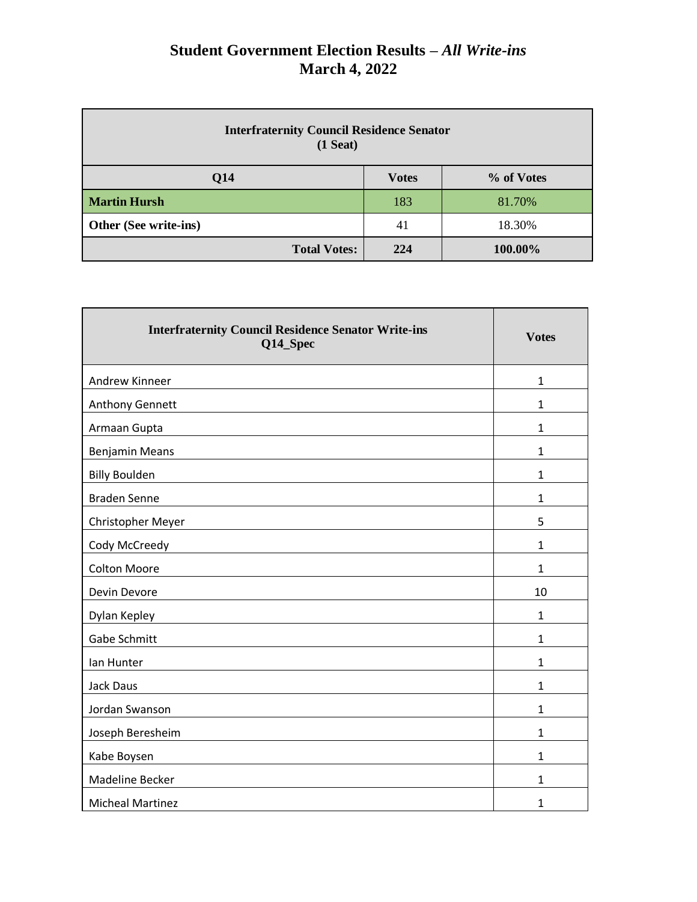| <b>Interfraternity Council Residence Senator</b><br>$(1$ Seat) |              |            |
|----------------------------------------------------------------|--------------|------------|
| Q14                                                            | <b>Votes</b> | % of Votes |
| <b>Martin Hursh</b>                                            | 183          | 81.70%     |
| Other (See write-ins)                                          | 41           | 18.30%     |
| <b>Total Votes:</b>                                            | 224          | 100.00%    |

| <b>Interfraternity Council Residence Senator Write-ins</b><br>Q14_Spec | <b>Votes</b> |
|------------------------------------------------------------------------|--------------|
| Andrew Kinneer                                                         | $\mathbf{1}$ |
| Anthony Gennett                                                        | $\mathbf{1}$ |
| Armaan Gupta                                                           | $\mathbf{1}$ |
| <b>Benjamin Means</b>                                                  | $\mathbf{1}$ |
| <b>Billy Boulden</b>                                                   | $\mathbf{1}$ |
| <b>Braden Senne</b>                                                    | $\mathbf{1}$ |
| Christopher Meyer                                                      | 5            |
| Cody McCreedy                                                          | $\mathbf{1}$ |
| <b>Colton Moore</b>                                                    | $\mathbf{1}$ |
| Devin Devore                                                           | 10           |
| Dylan Kepley                                                           | $\mathbf{1}$ |
| Gabe Schmitt                                                           | $\mathbf{1}$ |
| Ian Hunter                                                             | $\mathbf{1}$ |
| Jack Daus                                                              | $\mathbf{1}$ |
| Jordan Swanson                                                         | $\mathbf{1}$ |
| Joseph Beresheim                                                       | $\mathbf{1}$ |
| Kabe Boysen                                                            | $\mathbf{1}$ |
| Madeline Becker                                                        | 1            |
| <b>Micheal Martinez</b>                                                | 1            |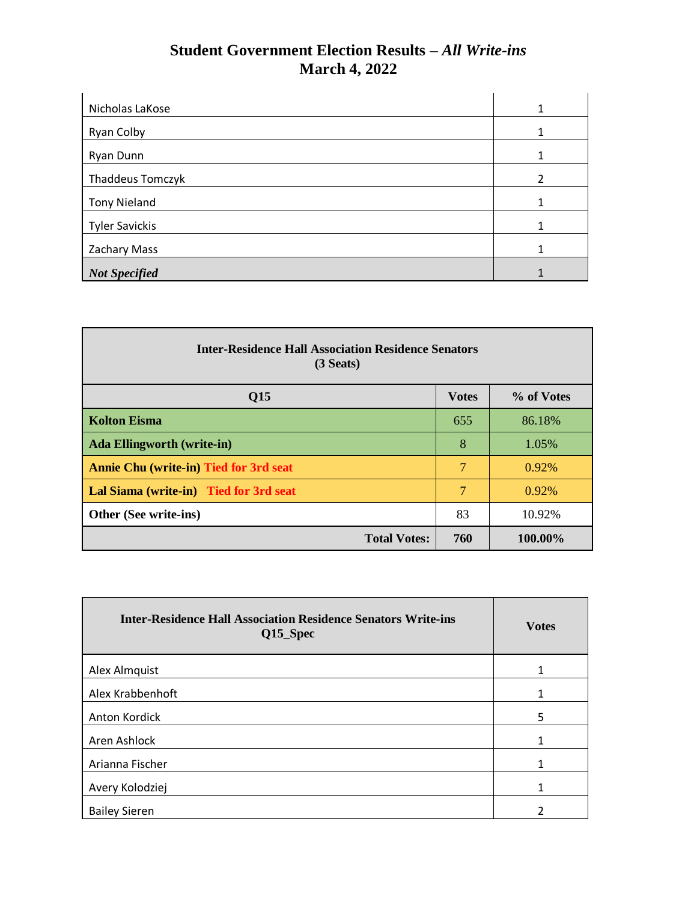| Nicholas LaKose       | 1              |
|-----------------------|----------------|
| Ryan Colby            |                |
| Ryan Dunn             |                |
| Thaddeus Tomczyk      | $\mathfrak{p}$ |
| <b>Tony Nieland</b>   |                |
| <b>Tyler Savickis</b> |                |
| <b>Zachary Mass</b>   |                |
| <b>Not Specified</b>  |                |

| <b>Inter-Residence Hall Association Residence Senators</b><br>(3 <b>Seats</b> ) |              |            |
|---------------------------------------------------------------------------------|--------------|------------|
| Q15                                                                             | <b>Votes</b> | % of Votes |
| <b>Kolton Eisma</b>                                                             | 655          | 86.18%     |
| <b>Ada Ellingworth (write-in)</b>                                               | 8            | 1.05%      |
| <b>Annie Chu (write-in) Tied for 3rd seat</b>                                   | 7            | $0.92\%$   |
| Lal Siama (write-in) Tied for 3rd seat                                          | 7            | $0.92\%$   |
| Other (See write-ins)                                                           | 83           | 10.92%     |
| <b>Total Votes:</b>                                                             | 760          | 100.00%    |

| <b>Inter-Residence Hall Association Residence Senators Write-ins</b><br>Q15_Spec | <b>Votes</b> |
|----------------------------------------------------------------------------------|--------------|
| Alex Almquist                                                                    | 1            |
| Alex Krabbenhoft                                                                 | 1            |
| Anton Kordick                                                                    | 5            |
| Aren Ashlock                                                                     | 1            |
| Arianna Fischer                                                                  | 1            |
| Avery Kolodziej                                                                  | 1            |
| <b>Bailey Sieren</b>                                                             | า            |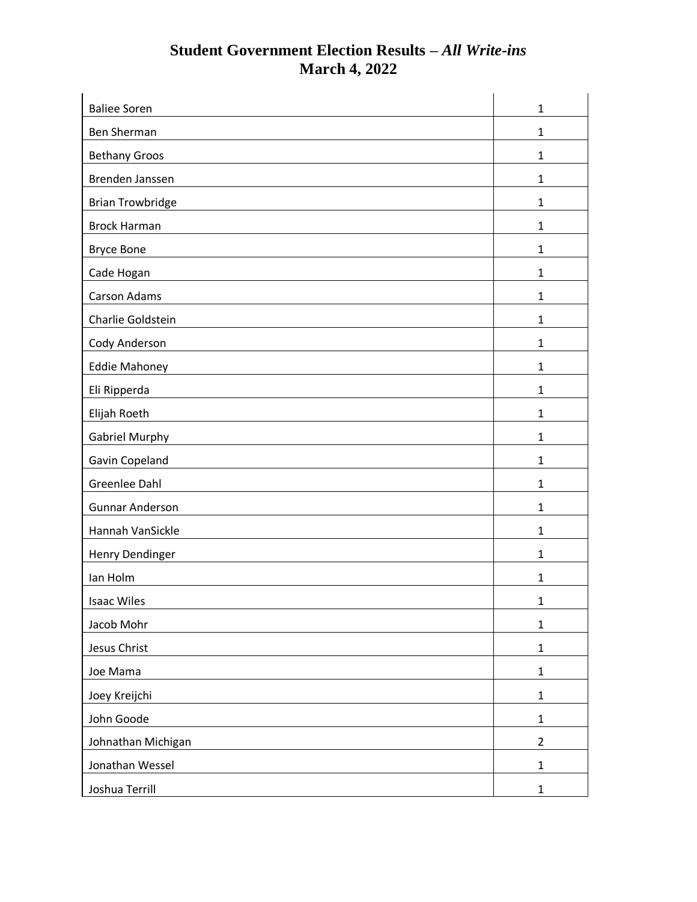| <b>Baliee Soren</b>     | 1              |
|-------------------------|----------------|
| Ben Sherman             | 1              |
| <b>Bethany Groos</b>    | 1              |
| Brenden Janssen         | $\mathbf{1}$   |
| <b>Brian Trowbridge</b> | $\mathbf{1}$   |
| <b>Brock Harman</b>     | $\mathbf{1}$   |
| <b>Bryce Bone</b>       | $\mathbf{1}$   |
| Cade Hogan              | $\mathbf{1}$   |
| <b>Carson Adams</b>     | 1              |
| Charlie Goldstein       | 1              |
| Cody Anderson           | $\mathbf{1}$   |
| <b>Eddie Mahoney</b>    | $\mathbf{1}$   |
| Eli Ripperda            | $\mathbf{1}$   |
| Elijah Roeth            | $\mathbf{1}$   |
| <b>Gabriel Murphy</b>   | $\mathbf{1}$   |
| Gavin Copeland          | 1              |
| Greenlee Dahl           | 1              |
| <b>Gunnar Anderson</b>  | $\mathbf{1}$   |
| Hannah VanSickle        | $\mathbf{1}$   |
| Henry Dendinger         | $\mathbf{1}$   |
| Ian Holm                | 1              |
| <b>Isaac Wiles</b>      | $\mathbf{1}$   |
| Jacob Mohr              | $\mathbf 1$    |
| Jesus Christ            | $\mathbf{1}$   |
| Joe Mama                | $\mathbf{1}$   |
| Joey Kreijchi           | $\mathbf{1}$   |
| John Goode              | $\mathbf{1}$   |
| Johnathan Michigan      | $\overline{2}$ |
| Jonathan Wessel         | $\mathbf{1}$   |
| Joshua Terrill          | $\mathbf{1}$   |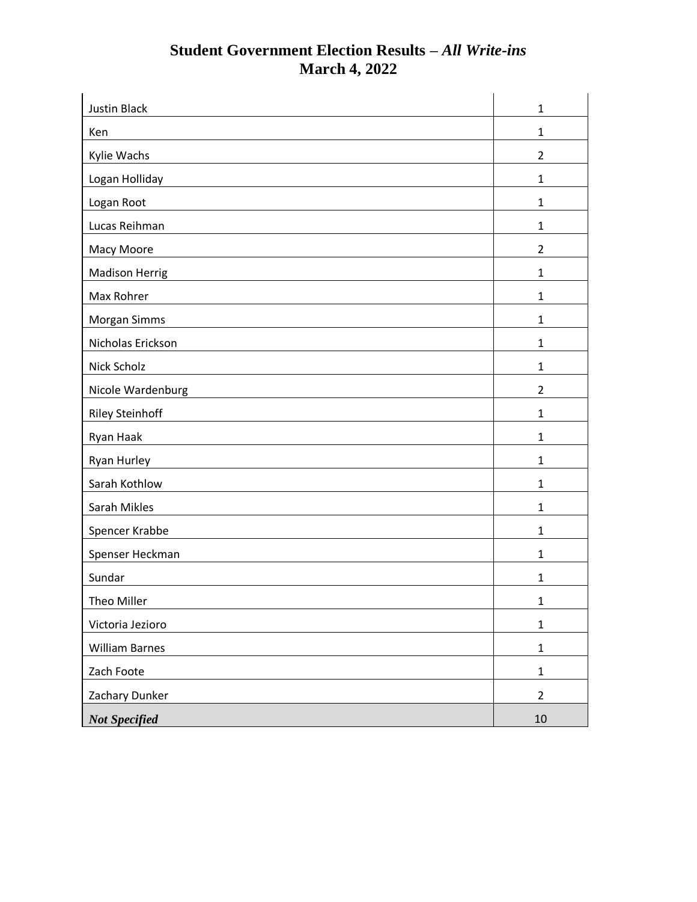| <b>Justin Black</b>    | $\mathbf{1}$   |
|------------------------|----------------|
| Ken                    | $\mathbf{1}$   |
| Kylie Wachs            | $\overline{2}$ |
| Logan Holliday         | $\mathbf{1}$   |
| Logan Root             | $\mathbf{1}$   |
| Lucas Reihman          | $\mathbf{1}$   |
| Macy Moore             | $\overline{2}$ |
| <b>Madison Herrig</b>  | 1              |
| Max Rohrer             | 1              |
| Morgan Simms           | 1              |
| Nicholas Erickson      | $\mathbf{1}$   |
| Nick Scholz            | $\mathbf{1}$   |
| Nicole Wardenburg      | $\overline{2}$ |
| <b>Riley Steinhoff</b> | $\mathbf{1}$   |
| Ryan Haak              | $\mathbf{1}$   |
| Ryan Hurley            | 1              |
| Sarah Kothlow          | $\mathbf{1}$   |
| Sarah Mikles           | $\mathbf{1}$   |
| Spencer Krabbe         | 1              |
| Spenser Heckman        | $\mathbf{1}$   |
| Sundar                 | $\mathbf{1}$   |
| Theo Miller            | 1              |
| Victoria Jezioro       | $\mathbf{1}$   |
| <b>William Barnes</b>  | $\mathbf 1$    |
| Zach Foote             | $\mathbf 1$    |
| Zachary Dunker         | $\overline{2}$ |
| <b>Not Specified</b>   | $10\,$         |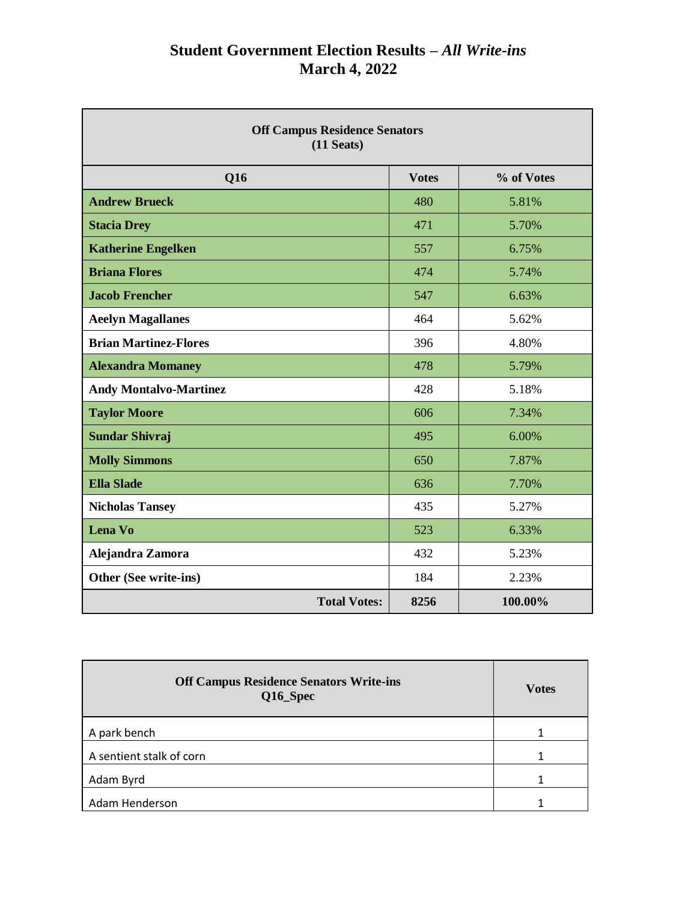| <b>Off Campus Residence Senators</b><br>$(11$ Seats) |              |            |
|------------------------------------------------------|--------------|------------|
| Q16                                                  | <b>Votes</b> | % of Votes |
| <b>Andrew Brueck</b>                                 | 480          | 5.81%      |
| <b>Stacia Drey</b>                                   | 471          | 5.70%      |
| <b>Katherine Engelken</b>                            | 557          | 6.75%      |
| <b>Briana Flores</b>                                 | 474          | 5.74%      |
| <b>Jacob Frencher</b>                                | 547          | 6.63%      |
| <b>Aeelyn Magallanes</b>                             | 464          | 5.62%      |
| <b>Brian Martinez-Flores</b>                         | 396          | 4.80%      |
| <b>Alexandra Momaney</b>                             | 478          | 5.79%      |
| <b>Andy Montalvo-Martinez</b>                        | 428          | 5.18%      |
| <b>Taylor Moore</b>                                  | 606          | 7.34%      |
| <b>Sundar Shivraj</b>                                | 495          | 6.00%      |
| <b>Molly Simmons</b>                                 | 650          | 7.87%      |
| <b>Ella Slade</b>                                    | 636          | 7.70%      |
| <b>Nicholas Tansey</b>                               | 435          | 5.27%      |
| <b>Lena Vo</b>                                       | 523          | 6.33%      |
| Alejandra Zamora                                     | 432          | 5.23%      |
| Other (See write-ins)                                | 184          | 2.23%      |
| <b>Total Votes:</b>                                  | 8256         | 100.00%    |

| <b>Off Campus Residence Senators Write-ins</b><br>Q16_Spec | <b>Votes</b> |
|------------------------------------------------------------|--------------|
| A park bench                                               |              |
| A sentient stalk of corn                                   |              |
| Adam Byrd                                                  |              |
| Adam Henderson                                             |              |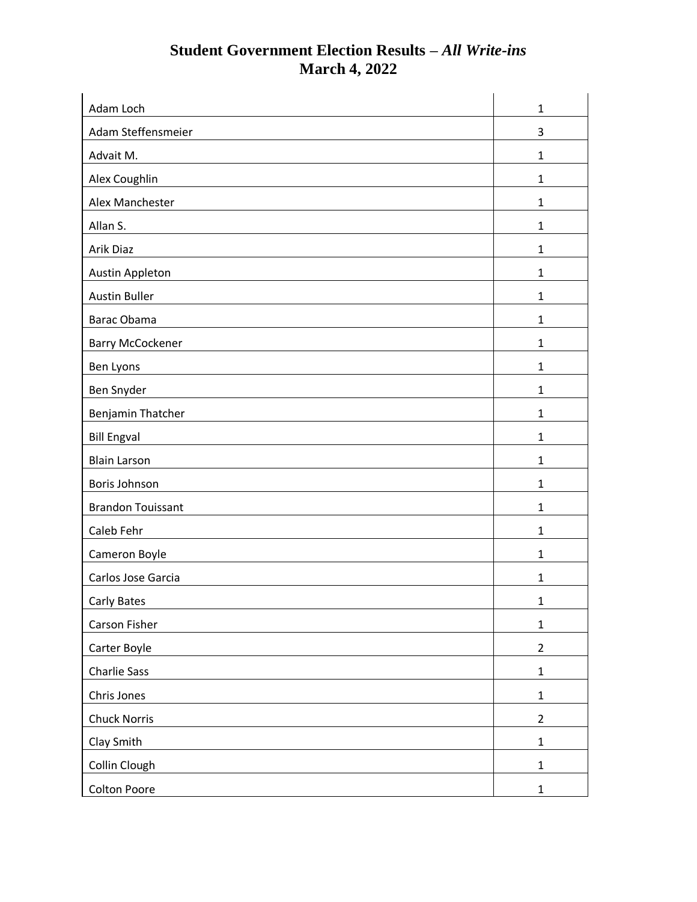| Adam Loch                | $\mathbf{1}$   |
|--------------------------|----------------|
| Adam Steffensmeier       | 3              |
| Advait M.                | 1              |
| Alex Coughlin            | $\mathbf{1}$   |
| Alex Manchester          | $\mathbf{1}$   |
| Allan S.                 | $\mathbf{1}$   |
| Arik Diaz                | 1              |
| <b>Austin Appleton</b>   | $\mathbf{1}$   |
| <b>Austin Buller</b>     | $\mathbf{1}$   |
| Barac Obama              | 1              |
| <b>Barry McCockener</b>  | $\mathbf{1}$   |
| Ben Lyons                | $\mathbf{1}$   |
| Ben Snyder               | $\mathbf{1}$   |
| Benjamin Thatcher        | $\mathbf{1}$   |
| <b>Bill Engval</b>       | $\mathbf{1}$   |
| <b>Blain Larson</b>      | $\mathbf{1}$   |
| Boris Johnson            | 1              |
| <b>Brandon Touissant</b> | 1              |
| Caleb Fehr               | $\mathbf{1}$   |
| Cameron Boyle            | $\mathbf{1}$   |
| Carlos Jose Garcia       | $\mathbf{1}$   |
| <b>Carly Bates</b>       | $\mathbf{1}$   |
| Carson Fisher            | $\mathbf{1}$   |
| Carter Boyle             | $\overline{2}$ |
| <b>Charlie Sass</b>      | $\mathbf 1$    |
| Chris Jones              | $\mathbf 1$    |
| <b>Chuck Norris</b>      | $\overline{2}$ |
| Clay Smith               | $\mathbf{1}$   |
| Collin Clough            | $\mathbf{1}$   |
| <b>Colton Poore</b>      | $\mathbf 1$    |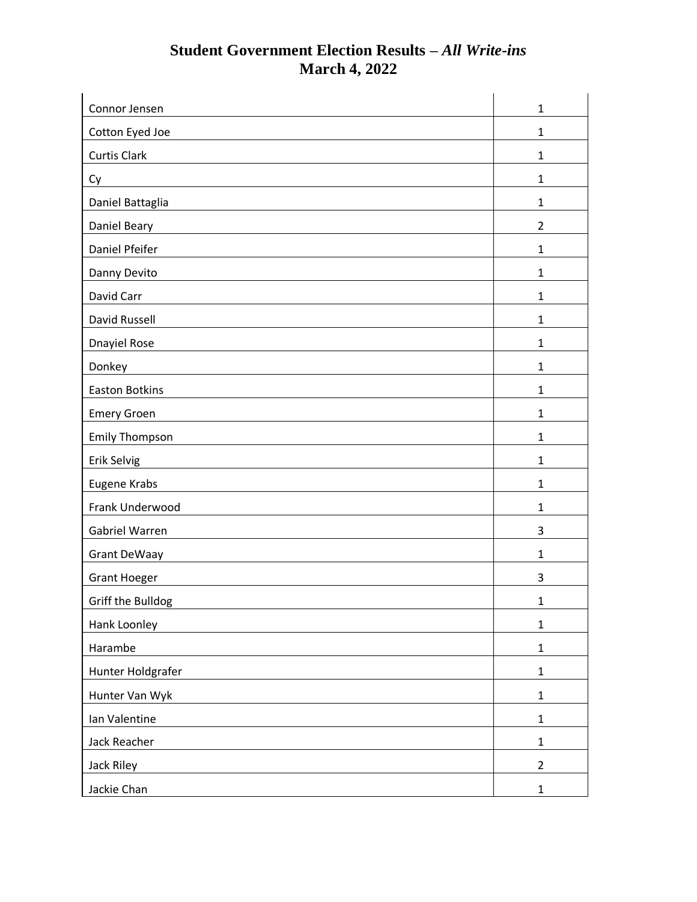| Connor Jensen         | $\mathbf{1}$   |
|-----------------------|----------------|
| Cotton Eyed Joe       | $\mathbf 1$    |
| <b>Curtis Clark</b>   | $\mathbf{1}$   |
| Cy                    | $\mathbf{1}$   |
| Daniel Battaglia      | 1              |
| Daniel Beary          | $\overline{2}$ |
| Daniel Pfeifer        | $\mathbf{1}$   |
| Danny Devito          | $\mathbf{1}$   |
| David Carr            | 1              |
| David Russell         | $\mathbf{1}$   |
| <b>Dnayiel Rose</b>   | $\mathbf{1}$   |
| Donkey                | 1              |
| <b>Easton Botkins</b> | $\mathbf{1}$   |
| <b>Emery Groen</b>    | $\mathbf{1}$   |
| <b>Emily Thompson</b> | $\mathbf{1}$   |
| Erik Selvig           | 1              |
| Eugene Krabs          | 1              |
| Frank Underwood       | $\mathbf{1}$   |
| Gabriel Warren        | 3              |
| <b>Grant DeWaay</b>   | $\mathbf{1}$   |
| <b>Grant Hoeger</b>   | 3              |
| Griff the Bulldog     | 1              |
| Hank Loonley          | $\mathbf 1$    |
| Harambe               | $\mathbf 1$    |
| Hunter Holdgrafer     | $\mathbf 1$    |
| Hunter Van Wyk        | $\mathbf 1$    |
| Ian Valentine         | $\mathbf 1$    |
| Jack Reacher          | $\mathbf{1}$   |
| Jack Riley            | $\overline{2}$ |
| Jackie Chan           | $\mathbf 1$    |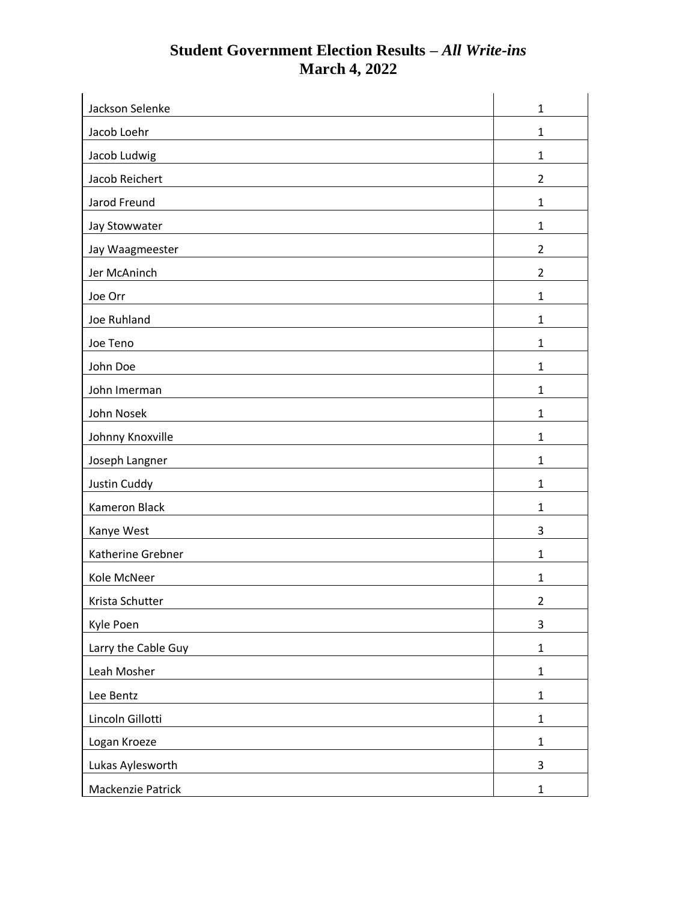| Jackson Selenke     | $\mathbf{1}$   |
|---------------------|----------------|
| Jacob Loehr         | $\mathbf{1}$   |
| Jacob Ludwig        | $\mathbf{1}$   |
| Jacob Reichert      | $\overline{2}$ |
| Jarod Freund        | 1              |
| Jay Stowwater       | $\mathbf{1}$   |
| Jay Waagmeester     | $\overline{2}$ |
| Jer McAninch        | $\overline{2}$ |
| Joe Orr             | 1              |
| Joe Ruhland         | $\mathbf{1}$   |
| Joe Teno            | $\mathbf{1}$   |
| John Doe            | 1              |
| John Imerman        | $\mathbf{1}$   |
| John Nosek          | $\mathbf{1}$   |
| Johnny Knoxville    | $\mathbf{1}$   |
| Joseph Langner      | 1              |
| Justin Cuddy        | 1              |
| Kameron Black       | $\mathbf{1}$   |
| Kanye West          | 3              |
| Katherine Grebner   | $\mathbf{1}$   |
| Kole McNeer         | $\mathbf{1}$   |
| Krista Schutter     | $\overline{2}$ |
| Kyle Poen           | 3              |
| Larry the Cable Guy | $\mathbf 1$    |
| Leah Mosher         | $\mathbf 1$    |
| Lee Bentz           | $\mathbf 1$    |
| Lincoln Gillotti    | $\mathbf 1$    |
| Logan Kroeze        | $\mathbf{1}$   |
| Lukas Aylesworth    | $\mathsf{3}$   |
| Mackenzie Patrick   | $\mathbf 1$    |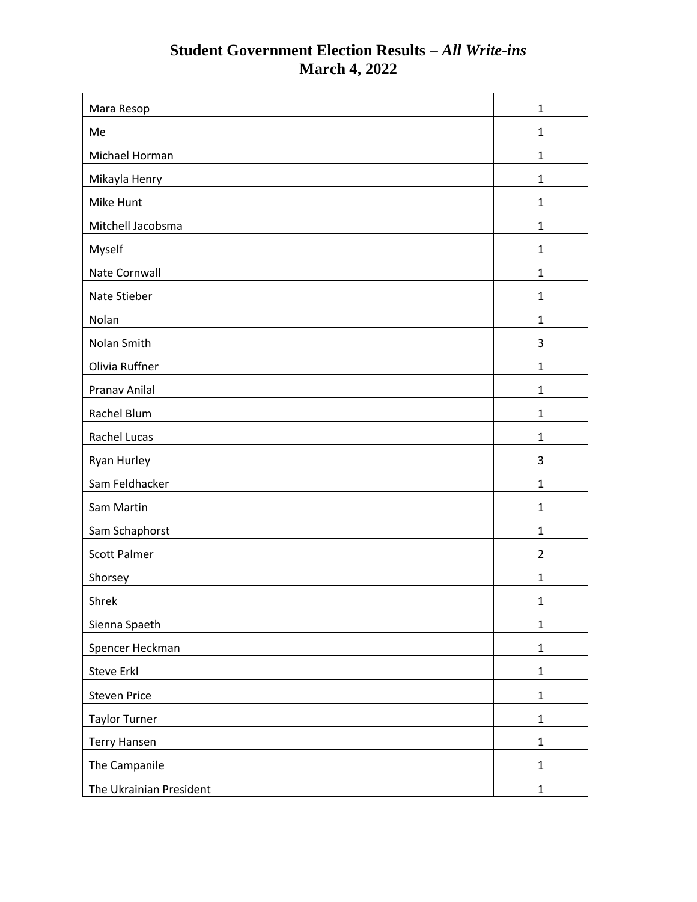| Mara Resop              | $\mathbf{1}$   |
|-------------------------|----------------|
| Me                      | $\mathbf{1}$   |
| Michael Horman          | 1              |
| Mikayla Henry           | $\mathbf{1}$   |
| Mike Hunt               | $\mathbf{1}$   |
| Mitchell Jacobsma       | $\mathbf{1}$   |
| Myself                  | $\mathbf{1}$   |
| Nate Cornwall           | $\mathbf{1}$   |
| Nate Stieber            | $\mathbf{1}$   |
| Nolan                   | 1              |
| Nolan Smith             | 3              |
| Olivia Ruffner          | $\mathbf{1}$   |
| <b>Pranav Anilal</b>    | $\mathbf{1}$   |
| Rachel Blum             | $\mathbf{1}$   |
| Rachel Lucas            | $\mathbf{1}$   |
| Ryan Hurley             | 3              |
| Sam Feldhacker          | 1              |
| Sam Martin              | 1              |
| Sam Schaphorst          | $\mathbf{1}$   |
| <b>Scott Palmer</b>     | $\overline{2}$ |
| Shorsey                 | $\mathbf{1}$   |
| Shrek                   | $\mathbf{1}$   |
| Sienna Spaeth           | $\mathbf{1}$   |
| Spencer Heckman         | $\mathbf{1}$   |
| Steve Erkl              | $\mathbf 1$    |
| <b>Steven Price</b>     | $\mathbf 1$    |
| <b>Taylor Turner</b>    | $\mathbf 1$    |
| <b>Terry Hansen</b>     | $\mathbf 1$    |
| The Campanile           | $\mathbf{1}$   |
| The Ukrainian President | $\mathbf{1}$   |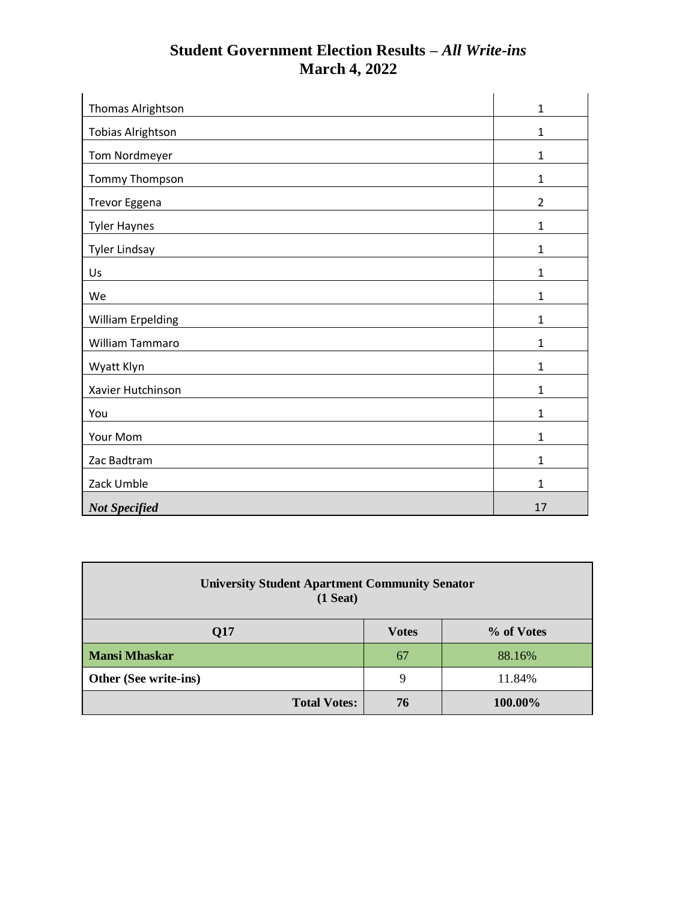| Thomas Alrightson        | $\mathbf{1}$   |
|--------------------------|----------------|
| <b>Tobias Alrightson</b> | $\mathbf{1}$   |
| Tom Nordmeyer            | $\mathbf 1$    |
| Tommy Thompson           | $\mathbf{1}$   |
| Trevor Eggena            | $\overline{2}$ |
| <b>Tyler Haynes</b>      | $\mathbf{1}$   |
| <b>Tyler Lindsay</b>     | $\mathbf{1}$   |
| Us                       | $\mathbf{1}$   |
| We                       | $\mathbf{1}$   |
| William Erpelding        | $\mathbf{1}$   |
| William Tammaro          | $\mathbf{1}$   |
| Wyatt Klyn               | $\mathbf 1$    |
| Xavier Hutchinson        | $\mathbf{1}$   |
| You                      | $\mathbf{1}$   |
| Your Mom                 | $\mathbf{1}$   |
| Zac Badtram              | $\mathbf{1}$   |
| Zack Umble               | $\mathbf{1}$   |
| <b>Not Specified</b>     | 17             |

| <b>University Student Apartment Community Senator</b><br>$(1$ Seat) |              |            |  |
|---------------------------------------------------------------------|--------------|------------|--|
| Q17                                                                 | <b>Votes</b> | % of Votes |  |
| <b>Mansi Mhaskar</b>                                                | 67           | 88.16%     |  |
| Other (See write-ins)                                               | 9            | 11.84%     |  |
| <b>Total Votes:</b>                                                 | 76           | 100.00%    |  |